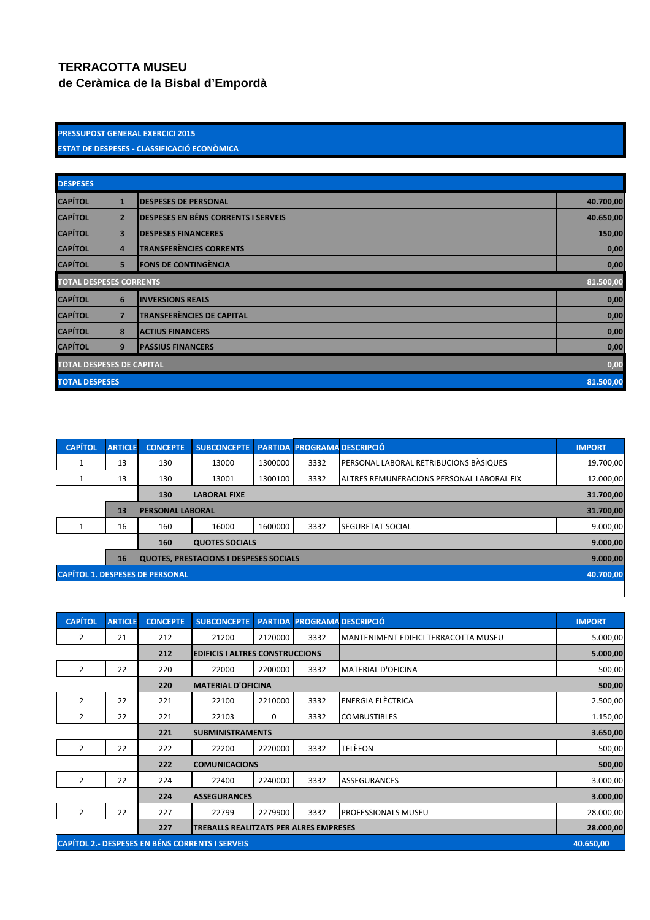## **TERRACOTTA MUSEU**

**de Ceràmica de la Bisbal d'Empordà**

## PRESSUPOST GENERAL EXERCICI 2015 ESTAT DE DESPESES - CLASSIFICACIÓ ECONÒMICA

| <b>DESPESES</b>                  |                         |                                            |      |  |  |  |  |  |
|----------------------------------|-------------------------|--------------------------------------------|------|--|--|--|--|--|
| <b>CAPÍTOL</b>                   | $\mathbf{1}$            | <b>DESPESES DE PERSONAL</b>                |      |  |  |  |  |  |
| <b>CAPÍTOL</b>                   | $\overline{2}$          | <b>DESPESES EN BÉNS CORRENTS I SERVEIS</b> |      |  |  |  |  |  |
| <b>CAPÍTOL</b>                   | $\overline{\mathbf{3}}$ | <b>DESPESES FINANCERES</b>                 |      |  |  |  |  |  |
| <b>CAPÍTOL</b>                   | $\overline{4}$          | <b>TRANSFERÈNCIES CORRENTS</b>             | 0,00 |  |  |  |  |  |
| <b>CAPÍTOL</b>                   | 5                       | <b>FONS DE CONTINGÈNCIA</b>                |      |  |  |  |  |  |
| <b>TOTAL DESPESES CORRENTS</b>   |                         |                                            |      |  |  |  |  |  |
| <b>CAPÍTOL</b>                   | 6                       | <b>INVERSIONS REALS</b>                    |      |  |  |  |  |  |
| <b>CAPÍTOL</b>                   | $\overline{7}$          | <b>TRANSFERÈNCIES DE CAPITAL</b>           | 0,00 |  |  |  |  |  |
| <b>CAPÍTOL</b>                   | 8                       | <b>ACTIUS FINANCERS</b>                    | 0,00 |  |  |  |  |  |
| <b>CAPÍTOL</b>                   | 9                       | <b>PASSIUS FINANCERS</b>                   | 0,00 |  |  |  |  |  |
| <b>TOTAL DESPESES DE CAPITAL</b> |                         |                                            |      |  |  |  |  |  |
| <b>TOTAL DESPESES</b>            |                         |                                            |      |  |  |  |  |  |

| <b>CAPÍTOL</b>                                      | <b>ARTICLE</b> | <b>CONCEPTE</b>                               | SUBCONCEPTE PARTIDA PROGRAMA DESCRIPCIÓ |         |      |                                           | <b>IMPORT</b> |  |  |  |
|-----------------------------------------------------|----------------|-----------------------------------------------|-----------------------------------------|---------|------|-------------------------------------------|---------------|--|--|--|
|                                                     | 13             | 130                                           | 13000                                   | 1300000 | 3332 | PERSONAL LABORAL RETRIBUCIONS BASIQUES    | 19.700,00     |  |  |  |
|                                                     | 13             | 130                                           | 13001                                   | 1300100 | 3332 | ALTRES REMUNERACIONS PERSONAL LABORAL FIX | 12.000,00     |  |  |  |
|                                                     |                | 130                                           | <b>LABORAL FIXE</b>                     |         |      |                                           | 31.700,00     |  |  |  |
|                                                     | 13             | 31.700,00<br><b>PERSONAL LABORAL</b>          |                                         |         |      |                                           |               |  |  |  |
|                                                     | 16             | 160                                           | 16000                                   | 1600000 | 3332 | <b>SEGURETAT SOCIAL</b>                   | 9.000,00      |  |  |  |
|                                                     |                | 160<br><b>QUOTES SOCIALS</b>                  |                                         |         |      |                                           |               |  |  |  |
|                                                     | <b>16</b>      | <b>QUOTES, PRESTACIONS I DESPESES SOCIALS</b> |                                         |         |      |                                           |               |  |  |  |
| <b>CAPÍTOL 1. DESPESES DE PERSONAL</b><br>40.700,00 |                |                                               |                                         |         |      |                                           |               |  |  |  |
|                                                     |                |                                               |                                         |         |      |                                           |               |  |  |  |

| <b>CAPÍTOL</b>                                                      | <b>ARTICLE</b>                                       | <b>CONCEPTE</b> | <b>SUBCONCEPTE</b>                     | <b>PARTIDA</b> |      | <b>PROGRAMA DESCRIPCIÓ</b>           | <b>IMPORT</b> |
|---------------------------------------------------------------------|------------------------------------------------------|-----------------|----------------------------------------|----------------|------|--------------------------------------|---------------|
| 2                                                                   | 21                                                   | 212             | 21200                                  | 2120000        | 3332 | MANTENIMENT EDIFICI TERRACOTTA MUSEU | 5.000,00      |
|                                                                     |                                                      | 212             | <b>EDIFICIS I ALTRES CONSTRUCCIONS</b> |                |      |                                      | 5.000,00      |
| 2                                                                   | 22                                                   | 220             | 22000                                  | 2200000        | 3332 | <b>MATERIAL D'OFICINA</b>            | 500,00        |
|                                                                     | 220<br><b>MATERIAL D'OFICINA</b>                     |                 |                                        |                |      |                                      |               |
| $\overline{2}$                                                      | 22                                                   | 221             | 22100                                  | 2210000        | 3332 | ENERGIA ELÈCTRICA                    | 2.500,00      |
| 2                                                                   | 22                                                   | 221             | 22103                                  | 0              | 3332 | <b>COMBUSTIBLES</b>                  | 1.150,00      |
|                                                                     |                                                      | 221             | <b>SUBMINISTRAMENTS</b>                | 3.650,00       |      |                                      |               |
| $\overline{2}$                                                      | 22                                                   | 222             | 22200                                  | 2220000        | 3332 | TELÈFON                              | 500,00        |
|                                                                     |                                                      | 222             | <b>COMUNICACIONS</b>                   | 500,00         |      |                                      |               |
| $\overline{2}$                                                      | 22                                                   | 224             | 22400                                  | 2240000        | 3332 | <b>ASSEGURANCES</b>                  | 3.000,00      |
| 224<br><b>ASSEGURANCES</b>                                          |                                                      |                 |                                        |                |      |                                      | 3.000,00      |
| 2                                                                   | 22                                                   | 227             | 22799                                  | 2279900        | 3332 | <b>PROFESSIONALS MUSEU</b>           | 28.000,00     |
|                                                                     | 227<br><b>TREBALLS REALITZATS PER ALRES EMPRESES</b> |                 |                                        |                |      |                                      |               |
| <b>CAPÍTOL 2.- DESPESES EN BÉNS CORRENTS I SERVEIS</b><br>40.650,00 |                                                      |                 |                                        |                |      |                                      |               |